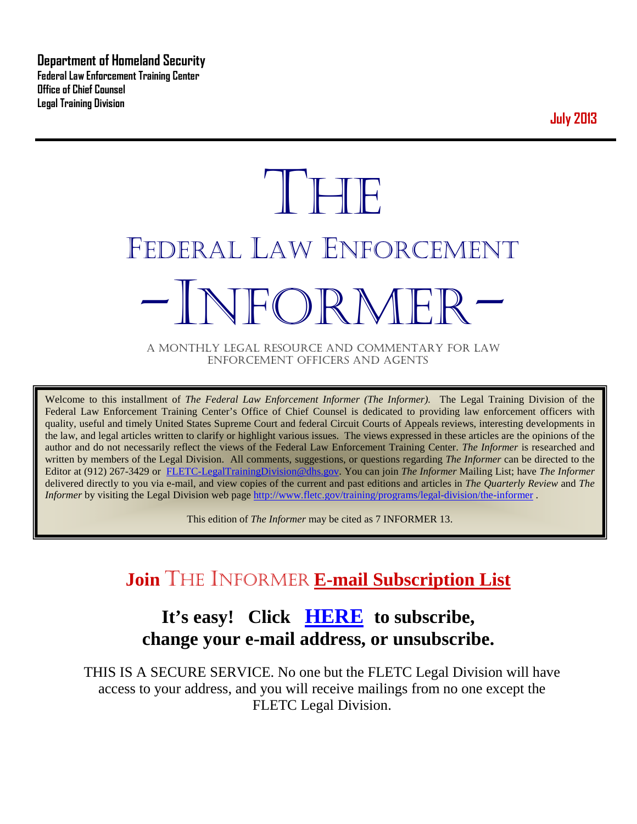**Department of Homeland Security Federal Law Enforcement Training Center Office of Chief Counsel Legal Training Division** 

**July 2013**

# **THE** FEDERAL LAW ENFORCEMENT -INFORMER- A MONTHLY LEGAL RESOURCE AND COMMENTARY FOR LAW

ENFORCEMENT OFFICERS AND AGENTS

Welcome to this installment of *The Federal Law Enforcement Informer (The Informer).* The Legal Training Division of the Federal Law Enforcement Training Center's Office of Chief Counsel is dedicated to providing law enforcement officers with quality, useful and timely United States Supreme Court and federal Circuit Courts of Appeals reviews, interesting developments in the law, and legal articles written to clarify or highlight various issues. The views expressed in these articles are the opinions of the author and do not necessarily reflect the views of the Federal Law Enforcement Training Center. *The Informer* is researched and written by members of the Legal Division. All comments, suggestions, or questions regarding *The Informer* can be directed to the Editor at (912) 267-3429 or [FLETC-LegalTrainingDivision@dhs.gov.](mailto:FLETC-LegalTrainingDivision@dhs.gov) You can join *The Informer* Mailing List; have *The Informer* delivered directly to you via e-mail, and view copies of the current and past editions and articles in *The Quarterly Review* and *The Informer* by visiting the Legal Division web page<http://www.fletc.gov/training/programs/legal-division/the-informer>.

This edition of *The Informer* may be cited as 7 INFORMER 13.

# **Join** THE INFORMER **E-mail Subscription List**

## **It's easy! Click [HERE](http://peach.ease.lsoft.com/scripts/wa.exe?SUBED1=fletclgd&A=1) to subscribe, change your e-mail address, or unsubscribe.**

THIS IS A SECURE SERVICE. No one but the FLETC Legal Division will have access to your address, and you will receive mailings from no one except the FLETC Legal Division.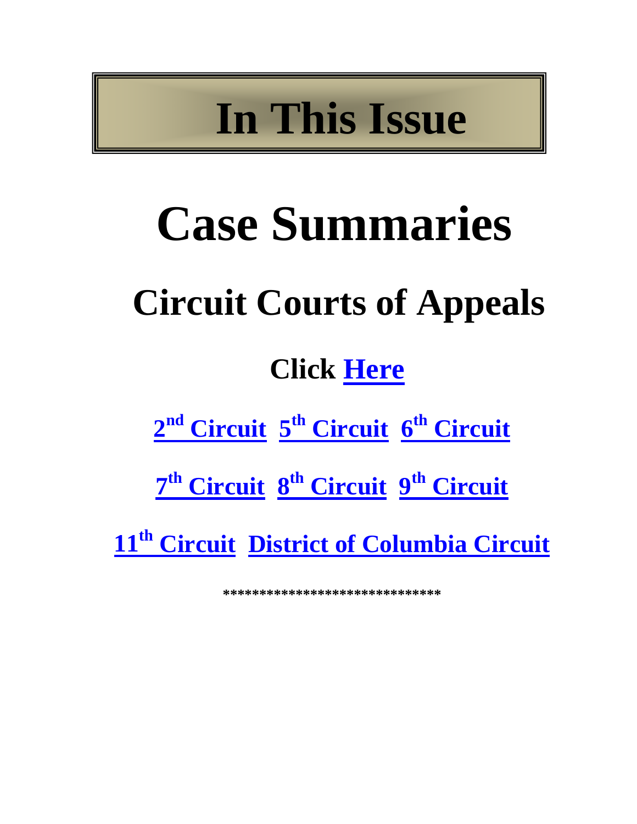# **In This Issue**

# **Case Summaries Circuit Courts of Appeals Click [Here](#page-4-0)**

2<sup>nd</sup> [Circuit](#page-4-2) 5<sup>th</sup> [Circuit](#page-5-0) 6<sup>th</sup> Circuit

 $7<sup>th</sup>$  **[Circuit](#page-10-0)**  $8<sup>th</sup>$  **Circuit**  $9<sup>th</sup>$  **Circuit** 

**11th [Circuit](#page-12-0) [District of Columbia Circuit](#page-13-0)**

**\*\*\*\*\*\*\*\*\*\*\*\*\*\*\*\*\*\*\*\*\*\*\*\*\*\*\*\*\*\***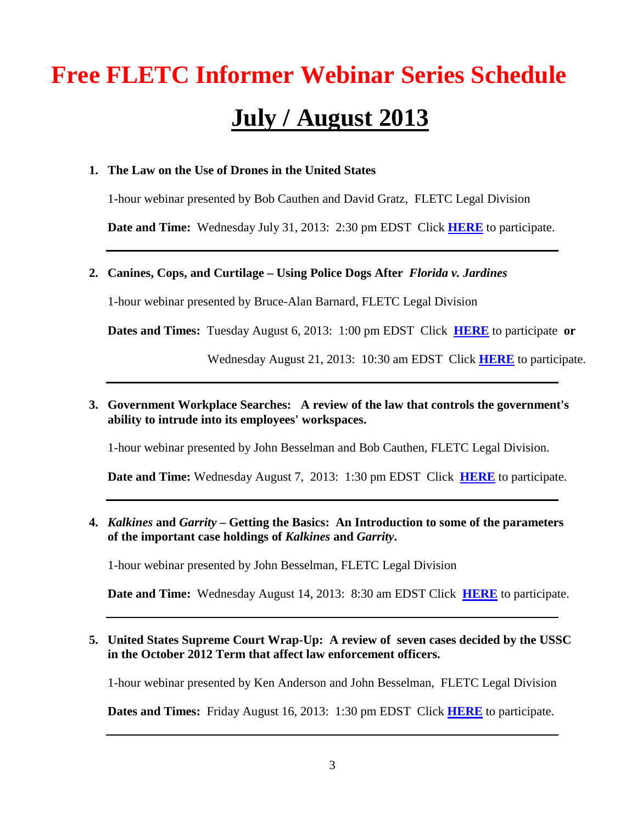# **Free FLETC Informer Webinar Series Schedule July / August 2013**

#### **1. The Law on the Use of Drones in the United States**

1-hour webinar presented by Bob Cauthen and David Gratz, FLETC Legal Division

**Date and Time:** Wednesday July 31, 2013: 2:30 pm EDST Click **[HERE](https://connect.hsin.gov/r4rx2gzryfq/)** to participate.

#### **2. Canines, Cops, and Curtilage – Using Police Dogs After** *Florida v. Jardines*

1-hour webinar presented by Bruce-Alan Barnard, FLETC Legal Division

**Dates and Times:** Tuesday August 6, 2013: 1:00 pm EDST Click **[HERE](https://connect.hsin.gov/jardinesaugust62013/)** to participate **or**

Wednesday August 21, 2013: 10:30 am EDST Click **[HERE](https://connect.hsin.gov/jardinesaugust212013/)** to participate.

**3. Government Workplace Searches: A review of the law that controls the government's ability to intrude into its employees' workspaces.**

1-hour webinar presented by John Besselman and Bob Cauthen, FLETC Legal Division.

**Date and Time:** Wednesday August 7, 2013: 1:30 pm EDST Click **[HERE](https://connect.hsin.gov/fletclgd0807)** to participate.

**4.** *Kalkines* **and** *Garrity* **– Getting the Basics: An Introduction to some of the parameters of the important case holdings of** *Kalkines* **and** *Garrity***.**

1-hour webinar presented by John Besselman, FLETC Legal Division

**Date and Time:** Wednesday August 14, 2013: 8:30 am EDST Click **[HERE](https://connect.hsin.gov/fletclgd0814)** to participate.

**5. United States Supreme Court Wrap-Up: A review of seven cases decided by the USSC in the October 2012 Term that affect law enforcement officers.**

1-hour webinar presented by Ken Anderson and John Besselman, FLETC Legal Division

**Dates and Times:** Friday August 16, 2013: 1:30 pm EDST Click **[HERE](https://connect.hsin.gov/fletclgd0816/?refresh-parent=true)** to participate.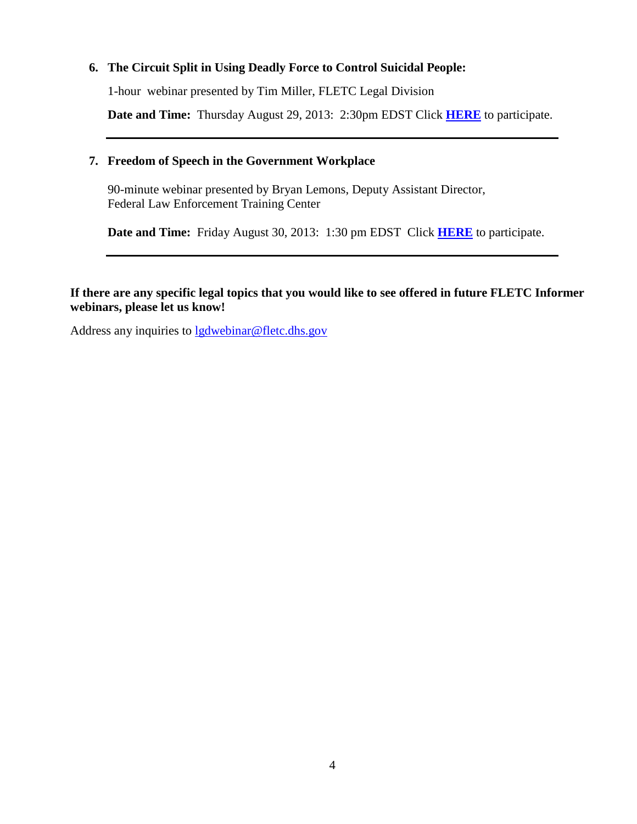#### **6. The Circuit Split in Using Deadly Force to Control Suicidal People:**

1-hour webinar presented by Tim Miller, FLETC Legal Division

**Date and Time:** Thursday August 29, 2013: 2:30pm EDST Click **[HERE](https://connect.hsin.gov/circuitsplitencore_1)** to participate.

#### **7. Freedom of Speech in the Government Workplace**

90-minute webinar presented by Bryan Lemons, Deputy Assistant Director, Federal Law Enforcement Training Center

**Date and Time:** Friday August 30, 2013: 1:30 pm EDST Click **[HERE](https://connect.hsin.gov/fletclgd0830/?refresh-parent=true)** to participate.

#### **If there are any specific legal topics that you would like to see offered in future FLETC Informer webinars, please let us know!**

Address any inquiries to [lgdwebinar@fletc.dhs.gov](mailto:lgdwebinar@fletc.dhs.gov)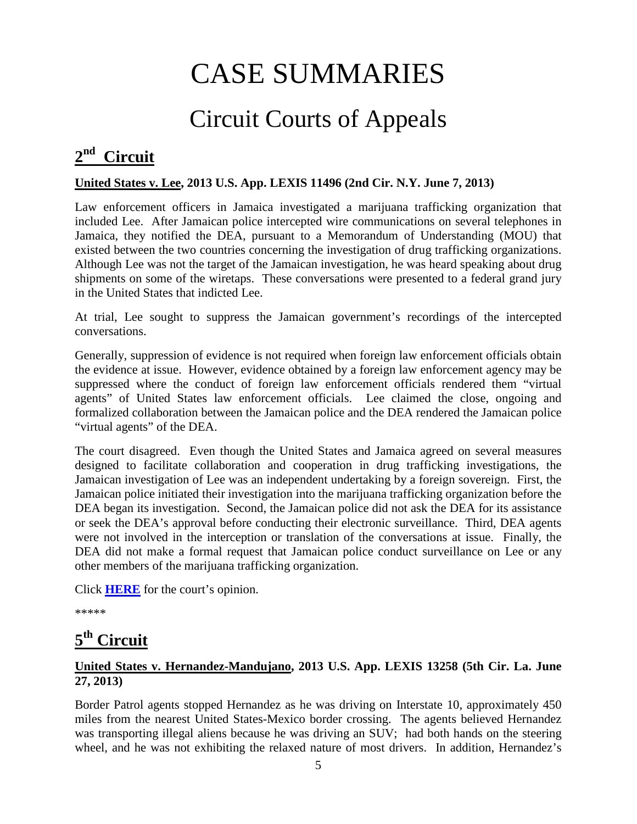# CASE SUMMARIES

# Circuit Courts of Appeals

## <span id="page-4-1"></span><span id="page-4-0"></span>**2nd Circuit**

#### **United States v. Lee, 2013 U.S. App. LEXIS 11496 (2nd Cir. N.Y. June 7, 2013)**

Law enforcement officers in Jamaica investigated a marijuana trafficking organization that included Lee. After Jamaican police intercepted wire communications on several telephones in Jamaica, they notified the DEA, pursuant to a Memorandum of Understanding (MOU) that existed between the two countries concerning the investigation of drug trafficking organizations. Although Lee was not the target of the Jamaican investigation, he was heard speaking about drug shipments on some of the wiretaps. These conversations were presented to a federal grand jury in the United States that indicted Lee.

At trial, Lee sought to suppress the Jamaican government's recordings of the intercepted conversations.

Generally, suppression of evidence is not required when foreign law enforcement officials obtain the evidence at issue. However, evidence obtained by a foreign law enforcement agency may be suppressed where the conduct of foreign law enforcement officials rendered them "virtual agents" of United States law enforcement officials. Lee claimed the close, ongoing and formalized collaboration between the Jamaican police and the DEA rendered the Jamaican police "virtual agents" of the DEA.

The court disagreed. Even though the United States and Jamaica agreed on several measures designed to facilitate collaboration and cooperation in drug trafficking investigations, the Jamaican investigation of Lee was an independent undertaking by a foreign sovereign. First, the Jamaican police initiated their investigation into the marijuana trafficking organization before the DEA began its investigation. Second, the Jamaican police did not ask the DEA for its assistance or seek the DEA's approval before conducting their electronic surveillance. Third, DEA agents were not involved in the interception or translation of the conversations at issue. Finally, the DEA did not make a formal request that Jamaican police conduct surveillance on Lee or any other members of the marijuana trafficking organization.

Click **[HERE](http://docs.justia.com/cases/federal/appellate-courts/ca2/12-0088/12-0088-2013-06-07.pdf)** for the court's opinion.

\*\*\*\*\*

# <span id="page-4-2"></span>**5th Circuit**

#### **United States v. Hernandez-Mandujano, 2013 U.S. App. LEXIS 13258 (5th Cir. La. June 27, 2013)**

Border Patrol agents stopped Hernandez as he was driving on Interstate 10, approximately 450 miles from the nearest United States-Mexico border crossing. The agents believed Hernandez was transporting illegal aliens because he was driving an SUV; had both hands on the steering wheel, and he was not exhibiting the relaxed nature of most drivers. In addition, Hernandez's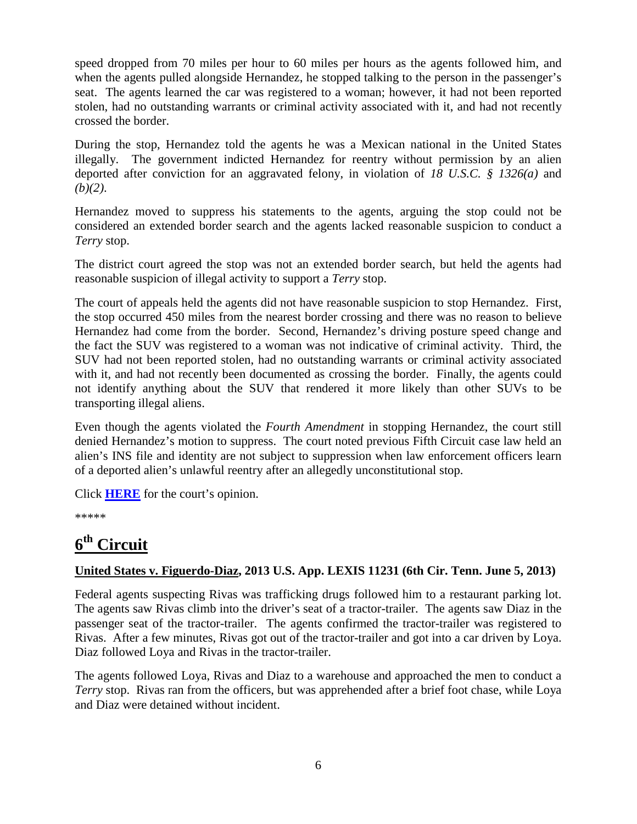speed dropped from 70 miles per hour to 60 miles per hours as the agents followed him, and when the agents pulled alongside Hernandez, he stopped talking to the person in the passenger's seat. The agents learned the car was registered to a woman; however, it had not been reported stolen, had no outstanding warrants or criminal activity associated with it, and had not recently crossed the border.

During the stop, Hernandez told the agents he was a Mexican national in the United States illegally. The government indicted Hernandez for reentry without permission by an alien deported after conviction for an aggravated felony, in violation of *18 U.S.C. § 1326(a)* and *(b)(2)*.

Hernandez moved to suppress his statements to the agents, arguing the stop could not be considered an extended border search and the agents lacked reasonable suspicion to conduct a *Terry* stop.

The district court agreed the stop was not an extended border search, but held the agents had reasonable suspicion of illegal activity to support a *Terry* stop.

The court of appeals held the agents did not have reasonable suspicion to stop Hernandez. First, the stop occurred 450 miles from the nearest border crossing and there was no reason to believe Hernandez had come from the border. Second, Hernandez's driving posture speed change and the fact the SUV was registered to a woman was not indicative of criminal activity. Third, the SUV had not been reported stolen, had no outstanding warrants or criminal activity associated with it, and had not recently been documented as crossing the border. Finally, the agents could not identify anything about the SUV that rendered it more likely than other SUVs to be transporting illegal aliens.

Even though the agents violated the *Fourth Amendment* in stopping Hernandez, the court still denied Hernandez's motion to suppress. The court noted previous Fifth Circuit case law held an alien's INS file and identity are not subject to suppression when law enforcement officers learn of a deported alien's unlawful reentry after an allegedly unconstitutional stop.

Click **[HERE](http://docs.justia.com/cases/federal/appellate-courts/ca5/12-30793/12-30793-2013-06-27.pdf)** for the court's opinion.

\*\*\*\*\*

## <span id="page-5-0"></span>**6th Circuit**

#### **United States v. Figuerdo-Diaz, 2013 U.S. App. LEXIS 11231 (6th Cir. Tenn. June 5, 2013)**

Federal agents suspecting Rivas was trafficking drugs followed him to a restaurant parking lot. The agents saw Rivas climb into the driver's seat of a tractor-trailer. The agents saw Diaz in the passenger seat of the tractor-trailer. The agents confirmed the tractor-trailer was registered to Rivas. After a few minutes, Rivas got out of the tractor-trailer and got into a car driven by Loya. Diaz followed Loya and Rivas in the tractor-trailer.

The agents followed Loya, Rivas and Diaz to a warehouse and approached the men to conduct a *Terry* stop. Rivas ran from the officers, but was apprehended after a brief foot chase, while Loya and Diaz were detained without incident.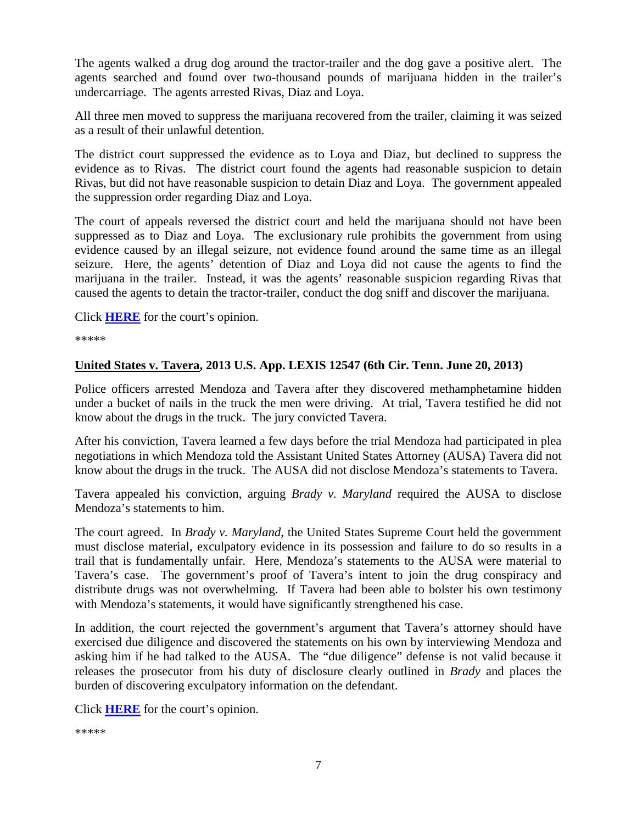The agents walked a drug dog around the tractor-trailer and the dog gave a positive alert. The agents searched and found over two-thousand pounds of marijuana hidden in the trailer's undercarriage. The agents arrested Rivas, Diaz and Loya.

All three men moved to suppress the marijuana recovered from the trailer, claiming it was seized as a result of their unlawful detention.

The district court suppressed the evidence as to Loya and Diaz, but declined to suppress the evidence as to Rivas. The district court found the agents had reasonable suspicion to detain Rivas, but did not have reasonable suspicion to detain Diaz and Loya. The government appealed the suppression order regarding Diaz and Loya.

The court of appeals reversed the district court and held the marijuana should not have been suppressed as to Diaz and Loya. The exclusionary rule prohibits the government from using evidence caused by an illegal seizure, not evidence found around the same time as an illegal seizure. Here, the agents' detention of Diaz and Loya did not cause the agents to find the marijuana in the trailer. Instead, it was the agents' reasonable suspicion regarding Rivas that caused the agents to detain the tractor-trailer, conduct the dog sniff and discover the marijuana.

Click **[HERE](http://docs.justia.com/cases/federal/appellate-courts/ca6/11-5827/11-5827-2013-06-05.pdf)** for the court's opinion.

\*\*\*\*\*

#### **United States v. Tavera, 2013 U.S. App. LEXIS 12547 (6th Cir. Tenn. June 20, 2013)**

Police officers arrested Mendoza and Tavera after they discovered methamphetamine hidden under a bucket of nails in the truck the men were driving. At trial, Tavera testified he did not know about the drugs in the truck. The jury convicted Tavera.

After his conviction, Tavera learned a few days before the trial Mendoza had participated in plea negotiations in which Mendoza told the Assistant United States Attorney (AUSA) Tavera did not know about the drugs in the truck. The AUSA did not disclose Mendoza's statements to Tavera.

Tavera appealed his conviction, arguing *Brady v. Maryland* required the AUSA to disclose Mendoza's statements to him.

The court agreed. In *Brady v. Maryland*, the United States Supreme Court held the government must disclose material, exculpatory evidence in its possession and failure to do so results in a trail that is fundamentally unfair. Here, Mendoza's statements to the AUSA were material to Tavera's case. The government's proof of Tavera's intent to join the drug conspiracy and distribute drugs was not overwhelming. If Tavera had been able to bolster his own testimony with Mendoza's statements, it would have significantly strengthened his case.

In addition, the court rejected the government's argument that Tavera's attorney should have exercised due diligence and discovered the statements on his own by interviewing Mendoza and asking him if he had talked to the AUSA. The "due diligence" defense is not valid because it releases the prosecutor from his duty of disclosure clearly outlined in *Brady* and places the burden of discovering exculpatory information on the defendant.

Click **[HERE](http://docs.justia.com/cases/federal/appellate-courts/ca6/11-6175/11-6175-2013-06-20.pdf)** for the court's opinion.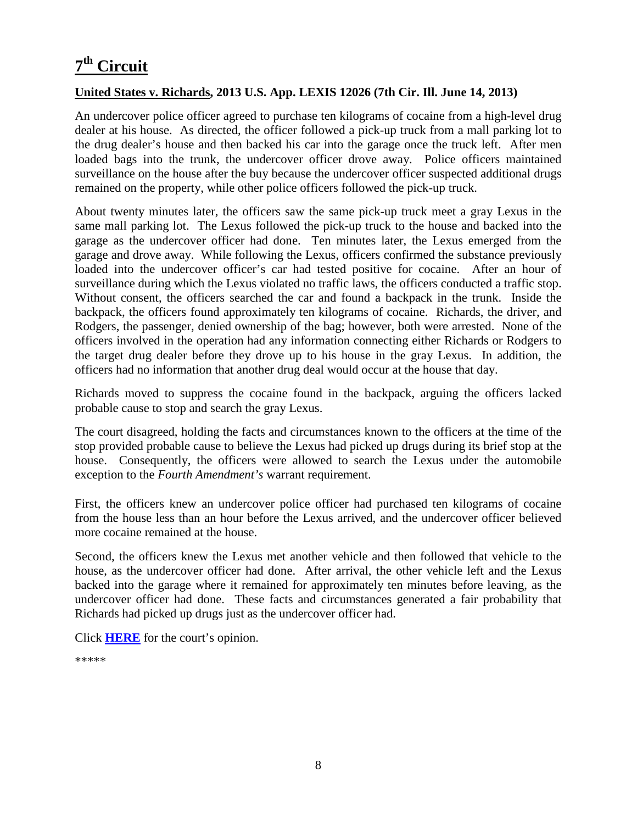## <span id="page-7-0"></span>**7th Circuit**

#### **United States v. Richards, 2013 U.S. App. LEXIS 12026 (7th Cir. Ill. June 14, 2013)**

An undercover police officer agreed to purchase ten kilograms of cocaine from a high-level drug dealer at his house. As directed, the officer followed a pick-up truck from a mall parking lot to the drug dealer's house and then backed his car into the garage once the truck left. After men loaded bags into the trunk, the undercover officer drove away. Police officers maintained surveillance on the house after the buy because the undercover officer suspected additional drugs remained on the property, while other police officers followed the pick-up truck.

About twenty minutes later, the officers saw the same pick-up truck meet a gray Lexus in the same mall parking lot. The Lexus followed the pick-up truck to the house and backed into the garage as the undercover officer had done. Ten minutes later, the Lexus emerged from the garage and drove away. While following the Lexus, officers confirmed the substance previously loaded into the undercover officer's car had tested positive for cocaine. After an hour of surveillance during which the Lexus violated no traffic laws, the officers conducted a traffic stop. Without consent, the officers searched the car and found a backpack in the trunk. Inside the backpack, the officers found approximately ten kilograms of cocaine. Richards, the driver, and Rodgers, the passenger, denied ownership of the bag; however, both were arrested. None of the officers involved in the operation had any information connecting either Richards or Rodgers to the target drug dealer before they drove up to his house in the gray Lexus. In addition, the officers had no information that another drug deal would occur at the house that day.

Richards moved to suppress the cocaine found in the backpack, arguing the officers lacked probable cause to stop and search the gray Lexus.

The court disagreed, holding the facts and circumstances known to the officers at the time of the stop provided probable cause to believe the Lexus had picked up drugs during its brief stop at the house. Consequently, the officers were allowed to search the Lexus under the automobile exception to the *Fourth Amendment's* warrant requirement.

First, the officers knew an undercover police officer had purchased ten kilograms of cocaine from the house less than an hour before the Lexus arrived, and the undercover officer believed more cocaine remained at the house.

Second, the officers knew the Lexus met another vehicle and then followed that vehicle to the house, as the undercover officer had done. After arrival, the other vehicle left and the Lexus backed into the garage where it remained for approximately ten minutes before leaving, as the undercover officer had done. These facts and circumstances generated a fair probability that Richards had picked up drugs just as the undercover officer had.

<span id="page-7-1"></span>Click **[HERE](http://docs.justia.com/cases/federal/appellate-courts/ca7/12-2790/12-2790-2013-06-14.pdf)** for the court's opinion.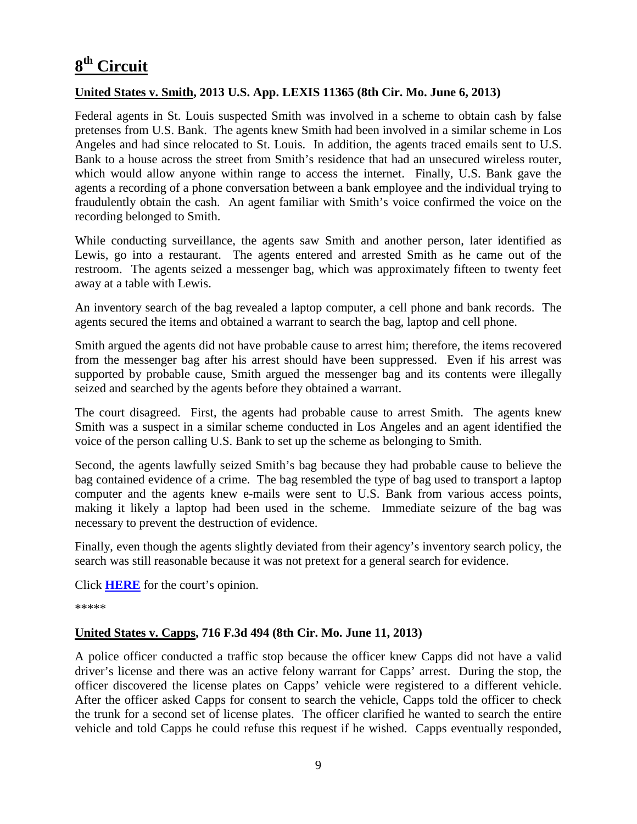## **8th Circuit**

#### **United States v. Smith, 2013 U.S. App. LEXIS 11365 (8th Cir. Mo. June 6, 2013)**

Federal agents in St. Louis suspected Smith was involved in a scheme to obtain cash by false pretenses from U.S. Bank. The agents knew Smith had been involved in a similar scheme in Los Angeles and had since relocated to St. Louis. In addition, the agents traced emails sent to U.S. Bank to a house across the street from Smith's residence that had an unsecured wireless router, which would allow anyone within range to access the internet. Finally, U.S. Bank gave the agents a recording of a phone conversation between a bank employee and the individual trying to fraudulently obtain the cash. An agent familiar with Smith's voice confirmed the voice on the recording belonged to Smith.

While conducting surveillance, the agents saw Smith and another person, later identified as Lewis, go into a restaurant. The agents entered and arrested Smith as he came out of the restroom. The agents seized a messenger bag, which was approximately fifteen to twenty feet away at a table with Lewis.

An inventory search of the bag revealed a laptop computer, a cell phone and bank records. The agents secured the items and obtained a warrant to search the bag, laptop and cell phone.

Smith argued the agents did not have probable cause to arrest him; therefore, the items recovered from the messenger bag after his arrest should have been suppressed. Even if his arrest was supported by probable cause, Smith argued the messenger bag and its contents were illegally seized and searched by the agents before they obtained a warrant.

The court disagreed. First, the agents had probable cause to arrest Smith. The agents knew Smith was a suspect in a similar scheme conducted in Los Angeles and an agent identified the voice of the person calling U.S. Bank to set up the scheme as belonging to Smith.

Second, the agents lawfully seized Smith's bag because they had probable cause to believe the bag contained evidence of a crime. The bag resembled the type of bag used to transport a laptop computer and the agents knew e-mails were sent to U.S. Bank from various access points, making it likely a laptop had been used in the scheme. Immediate seizure of the bag was necessary to prevent the destruction of evidence.

Finally, even though the agents slightly deviated from their agency's inventory search policy, the search was still reasonable because it was not pretext for a general search for evidence.

Click **[HERE](http://docs.justia.com/cases/federal/appellate-courts/ca8/12-2866/12-2866-2013-06-06.pdf)** for the court's opinion.

\*\*\*\*\*

#### **United States v. Capps, 716 F.3d 494 (8th Cir. Mo. June 11, 2013)**

A police officer conducted a traffic stop because the officer knew Capps did not have a valid driver's license and there was an active felony warrant for Capps' arrest. During the stop, the officer discovered the license plates on Capps' vehicle were registered to a different vehicle. After the officer asked Capps for consent to search the vehicle, Capps told the officer to check the trunk for a second set of license plates. The officer clarified he wanted to search the entire vehicle and told Capps he could refuse this request if he wished. Capps eventually responded,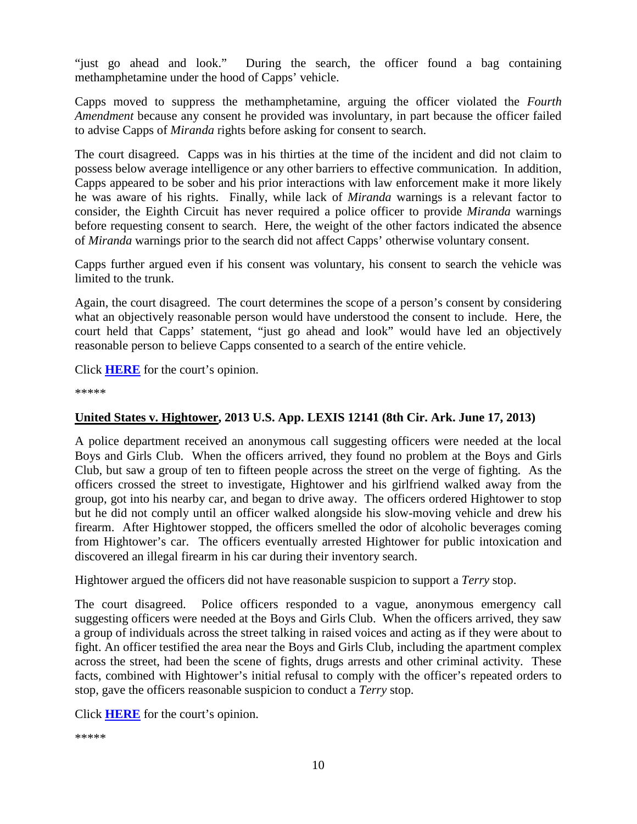"just go ahead and look." During the search, the officer found a bag containing methamphetamine under the hood of Capps' vehicle.

Capps moved to suppress the methamphetamine, arguing the officer violated the *Fourth Amendment* because any consent he provided was involuntary, in part because the officer failed to advise Capps of *Miranda* rights before asking for consent to search.

The court disagreed. Capps was in his thirties at the time of the incident and did not claim to possess below average intelligence or any other barriers to effective communication. In addition, Capps appeared to be sober and his prior interactions with law enforcement make it more likely he was aware of his rights. Finally, while lack of *Miranda* warnings is a relevant factor to consider, the Eighth Circuit has never required a police officer to provide *Miranda* warnings before requesting consent to search. Here, the weight of the other factors indicated the absence of *Miranda* warnings prior to the search did not affect Capps' otherwise voluntary consent.

Capps further argued even if his consent was voluntary, his consent to search the vehicle was limited to the trunk.

Again, the court disagreed. The court determines the scope of a person's consent by considering what an objectively reasonable person would have understood the consent to include. Here, the court held that Capps' statement, "just go ahead and look" would have led an objectively reasonable person to believe Capps consented to a search of the entire vehicle.

Click **[HERE](http://docs.justia.com/cases/federal/appellate-courts/ca8/13-1196/13-1196-2013-06-11.pdf)** for the court's opinion.

\*\*\*\*\*

#### **United States v. Hightower, 2013 U.S. App. LEXIS 12141 (8th Cir. Ark. June 17, 2013)**

A police department received an anonymous call suggesting officers were needed at the local Boys and Girls Club. When the officers arrived, they found no problem at the Boys and Girls Club, but saw a group of ten to fifteen people across the street on the verge of fighting. As the officers crossed the street to investigate, Hightower and his girlfriend walked away from the group, got into his nearby car, and began to drive away. The officers ordered Hightower to stop but he did not comply until an officer walked alongside his slow-moving vehicle and drew his firearm. After Hightower stopped, the officers smelled the odor of alcoholic beverages coming from Hightower's car. The officers eventually arrested Hightower for public intoxication and discovered an illegal firearm in his car during their inventory search.

Hightower argued the officers did not have reasonable suspicion to support a *Terry* stop.

The court disagreed. Police officers responded to a vague, anonymous emergency call suggesting officers were needed at the Boys and Girls Club. When the officers arrived, they saw a group of individuals across the street talking in raised voices and acting as if they were about to fight. An officer testified the area near the Boys and Girls Club, including the apartment complex across the street, had been the scene of fights, drugs arrests and other criminal activity. These facts, combined with Hightower's initial refusal to comply with the officer's repeated orders to stop, gave the officers reasonable suspicion to conduct a *Terry* stop.

Click **[HERE](http://docs.justia.com/cases/federal/appellate-courts/ca8/12-2222/12-2222-2013-06-17.pdf)** for the court's opinion.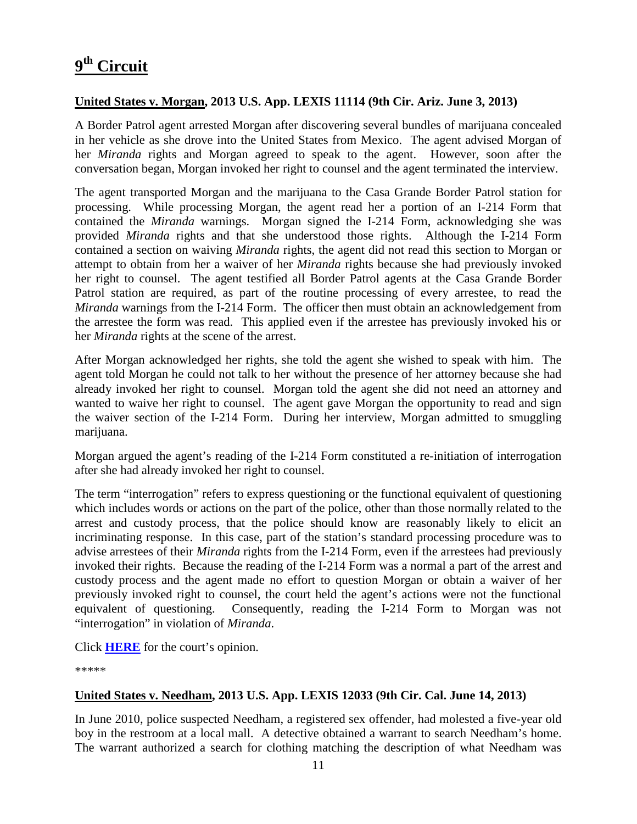#### <span id="page-10-0"></span>**United States v. Morgan, 2013 U.S. App. LEXIS 11114 (9th Cir. Ariz. June 3, 2013)**

A Border Patrol agent arrested Morgan after discovering several bundles of marijuana concealed in her vehicle as she drove into the United States from Mexico. The agent advised Morgan of her *Miranda* rights and Morgan agreed to speak to the agent. However, soon after the conversation began, Morgan invoked her right to counsel and the agent terminated the interview.

The agent transported Morgan and the marijuana to the Casa Grande Border Patrol station for processing. While processing Morgan, the agent read her a portion of an I-214 Form that contained the *Miranda* warnings. Morgan signed the I-214 Form, acknowledging she was provided *Miranda* rights and that she understood those rights. Although the I-214 Form contained a section on waiving *Miranda* rights, the agent did not read this section to Morgan or attempt to obtain from her a waiver of her *Miranda* rights because she had previously invoked her right to counsel. The agent testified all Border Patrol agents at the Casa Grande Border Patrol station are required, as part of the routine processing of every arrestee, to read the *Miranda* warnings from the I-214 Form. The officer then must obtain an acknowledgement from the arrestee the form was read. This applied even if the arrestee has previously invoked his or her *Miranda* rights at the scene of the arrest.

After Morgan acknowledged her rights, she told the agent she wished to speak with him. The agent told Morgan he could not talk to her without the presence of her attorney because she had already invoked her right to counsel. Morgan told the agent she did not need an attorney and wanted to waive her right to counsel. The agent gave Morgan the opportunity to read and sign the waiver section of the I-214 Form. During her interview, Morgan admitted to smuggling marijuana.

Morgan argued the agent's reading of the I-214 Form constituted a re-initiation of interrogation after she had already invoked her right to counsel.

The term "interrogation" refers to express questioning or the functional equivalent of questioning which includes words or actions on the part of the police, other than those normally related to the arrest and custody process, that the police should know are reasonably likely to elicit an incriminating response. In this case, part of the station's standard processing procedure was to advise arrestees of their *Miranda* rights from the I-214 Form, even if the arrestees had previously invoked their rights. Because the reading of the I-214 Form was a normal a part of the arrest and custody process and the agent made no effort to question Morgan or obtain a waiver of her previously invoked right to counsel, the court held the agent's actions were not the functional equivalent of questioning. Consequently, reading the I-214 Form to Morgan was not "interrogation" in violation of *Miranda*.

Click **[HERE](http://docs.justia.com/cases/federal/appellate-courts/ca9/12-10056/12-10056-2013-06-03.pdf)** for the court's opinion.

\*\*\*\*\*

#### **United States v. Needham, 2013 U.S. App. LEXIS 12033 (9th Cir. Cal. June 14, 2013)**

In June 2010, police suspected Needham, a registered sex offender, had molested a five-year old boy in the restroom at a local mall. A detective obtained a warrant to search Needham's home. The warrant authorized a search for clothing matching the description of what Needham was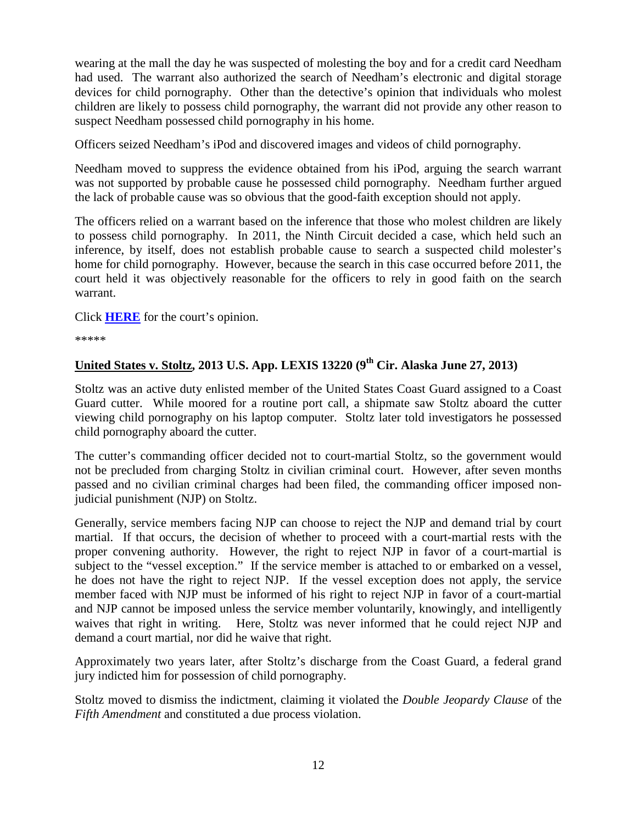wearing at the mall the day he was suspected of molesting the boy and for a credit card Needham had used. The warrant also authorized the search of Needham's electronic and digital storage devices for child pornography. Other than the detective's opinion that individuals who molest children are likely to possess child pornography, the warrant did not provide any other reason to suspect Needham possessed child pornography in his home.

Officers seized Needham's iPod and discovered images and videos of child pornography.

Needham moved to suppress the evidence obtained from his iPod, arguing the search warrant was not supported by probable cause he possessed child pornography. Needham further argued the lack of probable cause was so obvious that the good-faith exception should not apply.

The officers relied on a warrant based on the inference that those who molest children are likely to possess child pornography. In 2011, the Ninth Circuit decided a case, which held such an inference, by itself, does not establish probable cause to search a suspected child molester's home for child pornography. However, because the search in this case occurred before 2011, the court held it was objectively reasonable for the officers to rely in good faith on the search warrant.

Click **[HERE](http://docs.justia.com/cases/federal/appellate-courts/ca9/12-50097/12-50097-2013-06-14.pdf)** for the court's opinion.

\*\*\*\*\*

#### **United States v. Stoltz, 2013 U.S. App. LEXIS 13220 (9th Cir. Alaska June 27, 2013)**

Stoltz was an active duty enlisted member of the United States Coast Guard assigned to a Coast Guard cutter. While moored for a routine port call, a shipmate saw Stoltz aboard the cutter viewing child pornography on his laptop computer. Stoltz later told investigators he possessed child pornography aboard the cutter.

The cutter's commanding officer decided not to court-martial Stoltz, so the government would not be precluded from charging Stoltz in civilian criminal court. However, after seven months passed and no civilian criminal charges had been filed, the commanding officer imposed nonjudicial punishment (NJP) on Stoltz.

Generally, service members facing NJP can choose to reject the NJP and demand trial by court martial. If that occurs, the decision of whether to proceed with a court-martial rests with the proper convening authority. However, the right to reject NJP in favor of a court-martial is subject to the "vessel exception." If the service member is attached to or embarked on a vessel, he does not have the right to reject NJP. If the vessel exception does not apply, the service member faced with NJP must be informed of his right to reject NJP in favor of a court-martial and NJP cannot be imposed unless the service member voluntarily, knowingly, and intelligently waives that right in writing. Here, Stoltz was never informed that he could reject NJP and demand a court martial, nor did he waive that right.

Approximately two years later, after Stoltz's discharge from the Coast Guard, a federal grand jury indicted him for possession of child pornography.

Stoltz moved to dismiss the indictment, claiming it violated the *Double Jeopardy Clause* of the *Fifth Amendment* and constituted a due process violation.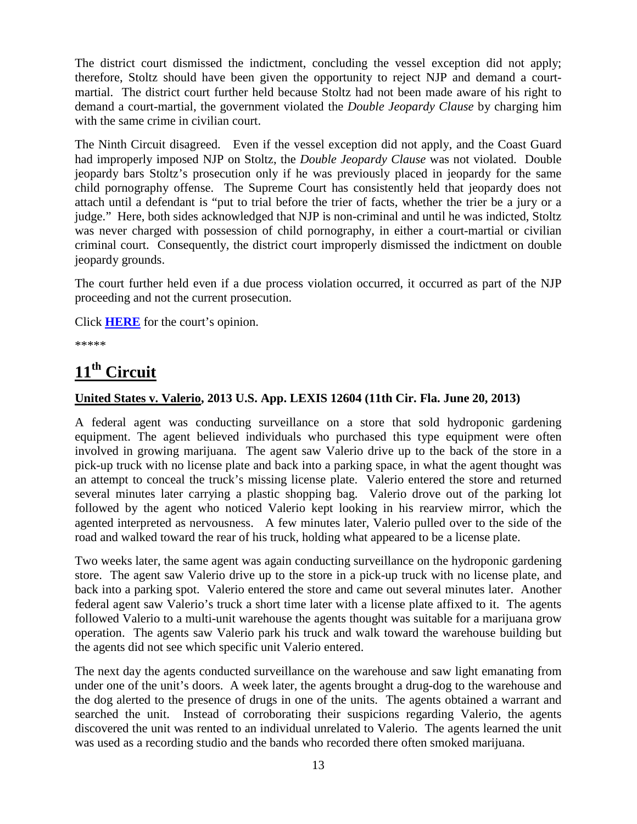The district court dismissed the indictment, concluding the vessel exception did not apply; therefore, Stoltz should have been given the opportunity to reject NJP and demand a courtmartial. The district court further held because Stoltz had not been made aware of his right to demand a court-martial, the government violated the *Double Jeopardy Clause* by charging him with the same crime in civilian court.

The Ninth Circuit disagreed. Even if the vessel exception did not apply, and the Coast Guard had improperly imposed NJP on Stoltz, the *Double Jeopardy Clause* was not violated. Double jeopardy bars Stoltz's prosecution only if he was previously placed in jeopardy for the same child pornography offense. The Supreme Court has consistently held that jeopardy does not attach until a defendant is "put to trial before the trier of facts, whether the trier be a jury or a judge." Here, both sides acknowledged that NJP is non-criminal and until he was indicted, Stoltz was never charged with possession of child pornography, in either a court-martial or civilian criminal court. Consequently, the district court improperly dismissed the indictment on double jeopardy grounds.

The court further held even if a due process violation occurred, it occurred as part of the NJP proceeding and not the current prosecution.

Click **[HERE](http://docs.justia.com/cases/federal/appellate-courts/ca9/11-30297/11-30297-2013-06-27.pdf)** for the court's opinion.

\*\*\*\*\*

# <span id="page-12-0"></span>**11th Circuit**

#### **United States v. Valerio, 2013 U.S. App. LEXIS 12604 (11th Cir. Fla. June 20, 2013)**

A federal agent was conducting surveillance on a store that sold hydroponic gardening equipment. The agent believed individuals who purchased this type equipment were often involved in growing marijuana. The agent saw Valerio drive up to the back of the store in a pick-up truck with no license plate and back into a parking space, in what the agent thought was an attempt to conceal the truck's missing license plate. Valerio entered the store and returned several minutes later carrying a plastic shopping bag. Valerio drove out of the parking lot followed by the agent who noticed Valerio kept looking in his rearview mirror, which the agented interpreted as nervousness. A few minutes later, Valerio pulled over to the side of the road and walked toward the rear of his truck, holding what appeared to be a license plate.

Two weeks later, the same agent was again conducting surveillance on the hydroponic gardening store. The agent saw Valerio drive up to the store in a pick-up truck with no license plate, and back into a parking spot. Valerio entered the store and came out several minutes later. Another federal agent saw Valerio's truck a short time later with a license plate affixed to it. The agents followed Valerio to a multi-unit warehouse the agents thought was suitable for a marijuana grow operation. The agents saw Valerio park his truck and walk toward the warehouse building but the agents did not see which specific unit Valerio entered.

The next day the agents conducted surveillance on the warehouse and saw light emanating from under one of the unit's doors. A week later, the agents brought a drug-dog to the warehouse and the dog alerted to the presence of drugs in one of the units. The agents obtained a warrant and searched the unit. Instead of corroborating their suspicions regarding Valerio, the agents discovered the unit was rented to an individual unrelated to Valerio. The agents learned the unit was used as a recording studio and the bands who recorded there often smoked marijuana.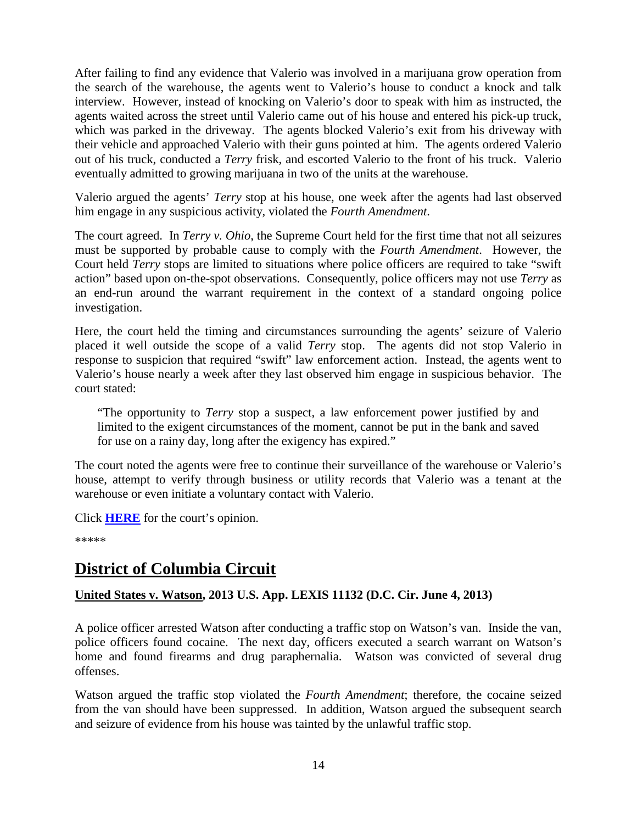After failing to find any evidence that Valerio was involved in a marijuana grow operation from the search of the warehouse, the agents went to Valerio's house to conduct a knock and talk interview. However, instead of knocking on Valerio's door to speak with him as instructed, the agents waited across the street until Valerio came out of his house and entered his pick-up truck, which was parked in the driveway. The agents blocked Valerio's exit from his driveway with their vehicle and approached Valerio with their guns pointed at him. The agents ordered Valerio out of his truck, conducted a *Terry* frisk, and escorted Valerio to the front of his truck. Valerio eventually admitted to growing marijuana in two of the units at the warehouse.

Valerio argued the agents' *Terry* stop at his house, one week after the agents had last observed him engage in any suspicious activity, violated the *Fourth Amendment*.

The court agreed. In *Terry v. Ohio*, the Supreme Court held for the first time that not all seizures must be supported by probable cause to comply with the *Fourth Amendment*. However, the Court held *Terry* stops are limited to situations where police officers are required to take "swift action" based upon on-the-spot observations. Consequently, police officers may not use *Terry* as an end-run around the warrant requirement in the context of a standard ongoing police investigation.

Here, the court held the timing and circumstances surrounding the agents' seizure of Valerio placed it well outside the scope of a valid *Terry* stop. The agents did not stop Valerio in response to suspicion that required "swift" law enforcement action. Instead, the agents went to Valerio's house nearly a week after they last observed him engage in suspicious behavior. The court stated:

"The opportunity to *Terry* stop a suspect, a law enforcement power justified by and limited to the exigent circumstances of the moment, cannot be put in the bank and saved for use on a rainy day, long after the exigency has expired."

The court noted the agents were free to continue their surveillance of the warehouse or Valerio's house, attempt to verify through business or utility records that Valerio was a tenant at the warehouse or even initiate a voluntary contact with Valerio.

Click **[HERE](http://docs.justia.com/cases/federal/appellate-courts/ca11/12-12235/12-12235-2013-06-20.pdf)** for the court's opinion.

\*\*\*\*\*

### <span id="page-13-0"></span>**District of Columbia Circuit**

#### **United States v. Watson, 2013 U.S. App. LEXIS 11132 (D.C. Cir. June 4, 2013)**

A police officer arrested Watson after conducting a traffic stop on Watson's van. Inside the van, police officers found cocaine. The next day, officers executed a search warrant on Watson's home and found firearms and drug paraphernalia. Watson was convicted of several drug offenses.

Watson argued the traffic stop violated the *Fourth Amendment*; therefore, the cocaine seized from the van should have been suppressed. In addition, Watson argued the subsequent search and seizure of evidence from his house was tainted by the unlawful traffic stop.